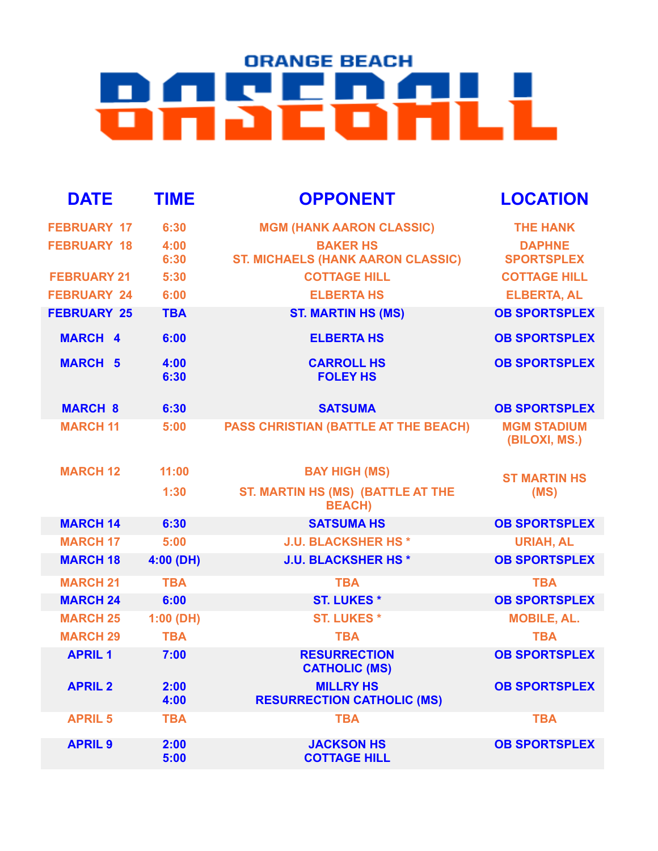## **ORANGE BEACH BASEBALL**

| <b>DATE</b>        | <b>TIME</b>  | <b>OPPONENT</b>                                             | <b>LOCATION</b>                     |
|--------------------|--------------|-------------------------------------------------------------|-------------------------------------|
| <b>FEBRUARY 17</b> | 6:30         | <b>MGM (HANK AARON CLASSIC)</b>                             | <b>THE HANK</b>                     |
| <b>FEBRUARY 18</b> | 4:00<br>6:30 | <b>BAKER HS</b><br><b>ST. MICHAELS (HANK AARON CLASSIC)</b> | <b>DAPHNE</b><br><b>SPORTSPLEX</b>  |
| <b>FEBRUARY 21</b> | 5:30         | <b>COTTAGE HILL</b>                                         | <b>COTTAGE HILL</b>                 |
| <b>FEBRUARY 24</b> | 6:00         | <b>ELBERTA HS</b>                                           | <b>ELBERTA, AL</b>                  |
| <b>FEBRUARY 25</b> | <b>TBA</b>   | <b>ST. MARTIN HS (MS)</b>                                   | <b>OB SPORTSPLEX</b>                |
| <b>MARCH 4</b>     | 6:00         | <b>ELBERTA HS</b>                                           | <b>OB SPORTSPLEX</b>                |
| <b>MARCH 5</b>     | 4:00<br>6:30 | <b>CARROLL HS</b><br><b>FOLEY HS</b>                        | <b>OB SPORTSPLEX</b>                |
| <b>MARCH 8</b>     | 6:30         | <b>SATSUMA</b>                                              | <b>OB SPORTSPLEX</b>                |
| <b>MARCH 11</b>    | 5:00         | <b>PASS CHRISTIAN (BATTLE AT THE BEACH)</b>                 | <b>MGM STADIUM</b><br>(BILOXI, MS.) |
| <b>MARCH 12</b>    | 11:00        | <b>BAY HIGH (MS)</b>                                        | <b>ST MARTIN HS</b>                 |
|                    | 1:30         | <b>ST. MARTIN HS (MS) (BATTLE AT THE</b><br><b>BEACH)</b>   | (MS)                                |
| <b>MARCH 14</b>    | 6:30         | <b>SATSUMA HS</b>                                           | <b>OB SPORTSPLEX</b>                |
| <b>MARCH 17</b>    | 5:00         | <b>J.U. BLACKSHER HS*</b>                                   | <b>URIAH, AL</b>                    |
| <b>MARCH 18</b>    | 4:00 (DH)    | <b>J.U. BLACKSHER HS*</b>                                   | <b>OB SPORTSPLEX</b>                |
| <b>MARCH 21</b>    | <b>TBA</b>   | <b>TBA</b>                                                  | <b>TBA</b>                          |
| <b>MARCH 24</b>    | 6:00         | <b>ST. LUKES*</b>                                           | <b>OB SPORTSPLEX</b>                |
| <b>MARCH 25</b>    | 1:00(DH)     | <b>ST. LUKES*</b>                                           | <b>MOBILE, AL.</b>                  |
| <b>MARCH 29</b>    | <b>TBA</b>   | <b>TBA</b>                                                  | <b>TBA</b>                          |
| <b>APRIL1</b>      | 7:00         | <b>RESURRECTION</b><br><b>CATHOLIC (MS)</b>                 | <b>OB SPORTSPLEX</b>                |
| <b>APRIL 2</b>     | 2:00<br>4:00 | <b>MILLRY HS</b><br><b>RESURRECTION CATHOLIC (MS)</b>       | <b>OB SPORTSPLEX</b>                |
| <b>APRIL 5</b>     | <b>TBA</b>   | <b>TBA</b>                                                  | <b>TBA</b>                          |
| <b>APRIL 9</b>     | 2:00<br>5:00 | <b>JACKSON HS</b><br><b>COTTAGE HILL</b>                    | <b>OB SPORTSPLEX</b>                |